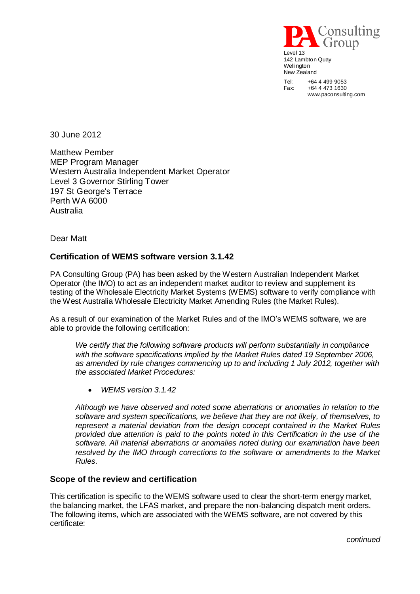

www.paconsulting.com

30 June 2012

Matthew Pember MEP Program Manager Western Australia Independent Market Operator Level 3 Governor Stirling Tower 197 St George's Terrace Perth WA 6000 Australia

Dear Matt

# **Certification of WEMS software version 3.1.42**

PA Consulting Group (PA) has been asked by the Western Australian Independent Market Operator (the IMO) to act as an independent market auditor to review and supplement its testing of the Wholesale Electricity Market Systems (WEMS) software to verify compliance with the West Australia Wholesale Electricity Market Amending Rules (the Market Rules).

As a result of our examination of the Market Rules and of the IMO's WEMS software, we are able to provide the following certification:

*We certify that the following software products will perform substantially in compliance with the software specifications implied by the Market Rules dated 19 September 2006, as amended by rule changes commencing up to and including 1 July 2012, together with the associated Market Procedures:*

*WEMS version 3.1.42* 

*Although we have observed and noted some aberrations or anomalies in relation to the software and system specifications, we believe that they are not likely, of themselves, to represent a material deviation from the design concept contained in the Market Rules provided due attention is paid to the points noted in this Certification in the use of the software. All material aberrations or anomalies noted during our examination have been*  resolved by the IMO through corrections to the software or amendments to the Market *Rules.*

### **Scope of the review and certification**

This certification is specific to the WEMS software used to clear the short-term energy market, the balancing market, the LFAS market, and prepare the non-balancing dispatch merit orders. The following items, which are associated with the WEMS software, are not covered by this certificate:

*continued*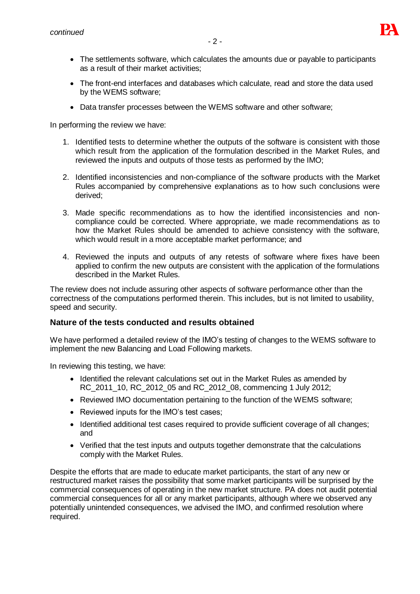

- The settlements software, which calculates the amounts due or payable to participants as a result of their market activities;
- The front-end interfaces and databases which calculate, read and store the data used by the WEMS software;
- Data transfer processes between the WEMS software and other software;

In performing the review we have:

- 1. Identified tests to determine whether the outputs of the software is consistent with those which result from the application of the formulation described in the Market Rules, and reviewed the inputs and outputs of those tests as performed by the IMO;
- 2. Identified inconsistencies and non-compliance of the software products with the Market Rules accompanied by comprehensive explanations as to how such conclusions were derived;
- 3. Made specific recommendations as to how the identified inconsistencies and noncompliance could be corrected. Where appropriate, we made recommendations as to how the Market Rules should be amended to achieve consistency with the software, which would result in a more acceptable market performance; and
- 4. Reviewed the inputs and outputs of any retests of software where fixes have been applied to confirm the new outputs are consistent with the application of the formulations described in the Market Rules.

The review does not include assuring other aspects of software performance other than the correctness of the computations performed therein. This includes, but is not limited to usability, speed and security.

### **Nature of the tests conducted and results obtained**

We have performed a detailed review of the IMO's testing of changes to the WEMS software to implement the new Balancing and Load Following markets.

In reviewing this testing, we have:

- Identified the relevant calculations set out in the Market Rules as amended by RC 2011 10, RC 2012 05 and RC 2012 08, commencing 1 July 2012;
- Reviewed IMO documentation pertaining to the function of the WEMS software;
- Reviewed inputs for the IMO's test cases;
- Identified additional test cases required to provide sufficient coverage of all changes; and
- Verified that the test inputs and outputs together demonstrate that the calculations comply with the Market Rules.

Despite the efforts that are made to educate market participants, the start of any new or restructured market raises the possibility that some market participants will be surprised by the commercial consequences of operating in the new market structure. PA does not audit potential commercial consequences for all or any market participants, although where we observed any potentially unintended consequences, we advised the IMO, and confirmed resolution where required.